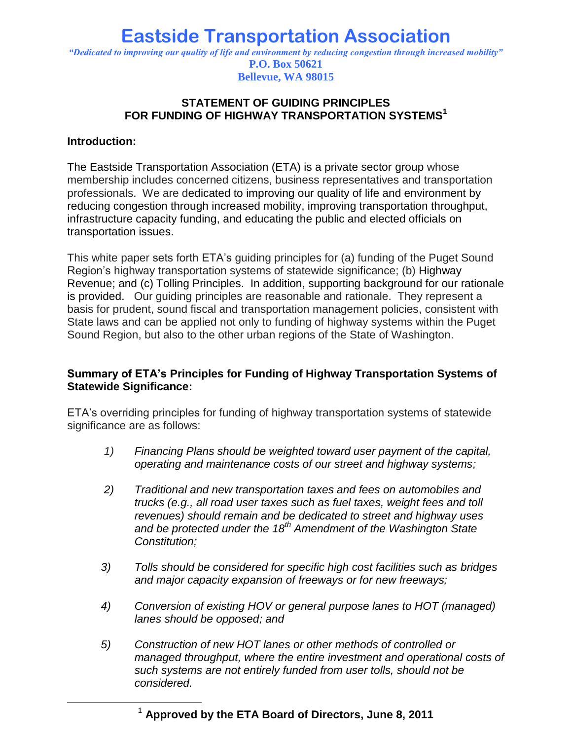## **Eastside Transportation Association** *"Dedicated to improving our quality of life and environment by reducing congestion through increased mobility"* **P.O. Box 50621 Bellevue, WA 98015**

#### **STATEMENT OF GUIDING PRINCIPLES FOR FUNDING OF HIGHWAY TRANSPORTATION SYSTEMS<sup>1</sup>**

#### **Introduction:**

 $\overline{a}$ 

The Eastside Transportation Association (ETA) is a private sector group whose membership includes concerned citizens, business representatives and transportation professionals. We are dedicated to improving our quality of life and environment by reducing congestion through increased mobility, improving transportation throughput, infrastructure capacity funding, and educating the public and elected officials on transportation issues.

This white paper sets forth ETA's guiding principles for (a) funding of the Puget Sound Region's highway transportation systems of statewide significance; (b) Highway Revenue; and (c) Tolling Principles. In addition, supporting background for our rationale is provided. Our guiding principles are reasonable and rationale. They represent a basis for prudent, sound fiscal and transportation management policies, consistent with State laws and can be applied not only to funding of highway systems within the Puget Sound Region, but also to the other urban regions of the State of Washington.

#### **Summary of ETA's Principles for Funding of Highway Transportation Systems of Statewide Significance:**

ETA's overriding principles for funding of highway transportation systems of statewide significance are as follows:

- *1) Financing Plans should be weighted toward user payment of the capital, operating and maintenance costs of our street and highway systems;*
- *2) Traditional and new transportation taxes and fees on automobiles and trucks (e.g., all road user taxes such as fuel taxes, weight fees and toll revenues) should remain and be dedicated to street and highway uses and be protected under the 18th Amendment of the Washington State Constitution;*
- *3) Tolls should be considered for specific high cost facilities such as bridges and major capacity expansion of freeways or for new freeways;*
- *4) Conversion of existing HOV or general purpose lanes to HOT (managed) lanes should be opposed; and*
- *5) Construction of new HOT lanes or other methods of controlled or managed throughput, where the entire investment and operational costs of such systems are not entirely funded from user tolls, should not be considered.*

<sup>1</sup> **Approved by the ETA Board of Directors, June 8, 2011**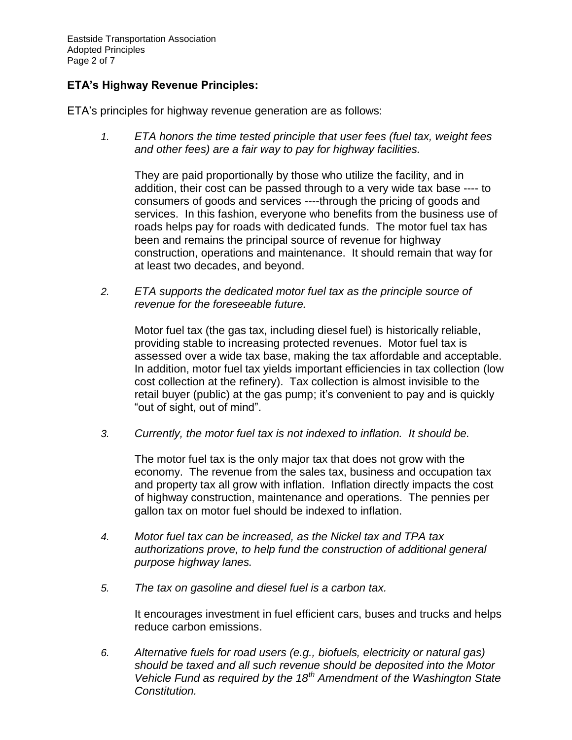Eastside Transportation Association Adopted Principles Page 2 of 7

### **ETA's Highway Revenue Principles:**

ETA's principles for highway revenue generation are as follows:

*1. ETA honors the time tested principle that user fees (fuel tax, weight fees and other fees) are a fair way to pay for highway facilities.* 

They are paid proportionally by those who utilize the facility, and in addition, their cost can be passed through to a very wide tax base ---- to consumers of goods and services ----through the pricing of goods and services. In this fashion, everyone who benefits from the business use of roads helps pay for roads with dedicated funds. The motor fuel tax has been and remains the principal source of revenue for highway construction, operations and maintenance. It should remain that way for at least two decades, and beyond.

*2. ETA supports the dedicated motor fuel tax as the principle source of revenue for the foreseeable future.* 

Motor fuel tax (the gas tax, including diesel fuel) is historically reliable, providing stable to increasing protected revenues. Motor fuel tax is assessed over a wide tax base, making the tax affordable and acceptable. In addition, motor fuel tax yields important efficiencies in tax collection (low cost collection at the refinery). Tax collection is almost invisible to the retail buyer (public) at the gas pump; it's convenient to pay and is quickly "out of sight, out of mind".

*3. Currently, the motor fuel tax is not indexed to inflation. It should be.* 

The motor fuel tax is the only major tax that does not grow with the economy. The revenue from the sales tax, business and occupation tax and property tax all grow with inflation. Inflation directly impacts the cost of highway construction, maintenance and operations. The pennies per gallon tax on motor fuel should be indexed to inflation.

- *4. Motor fuel tax can be increased, as the Nickel tax and TPA tax authorizations prove, to help fund the construction of additional general purpose highway lanes.*
- *5. The tax on gasoline and diesel fuel is a carbon tax.*

It encourages investment in fuel efficient cars, buses and trucks and helps reduce carbon emissions.

*6. Alternative fuels for road users (e.g., biofuels, electricity or natural gas) should be taxed and all such revenue should be deposited into the Motor Vehicle Fund as required by the 18th Amendment of the Washington State Constitution.*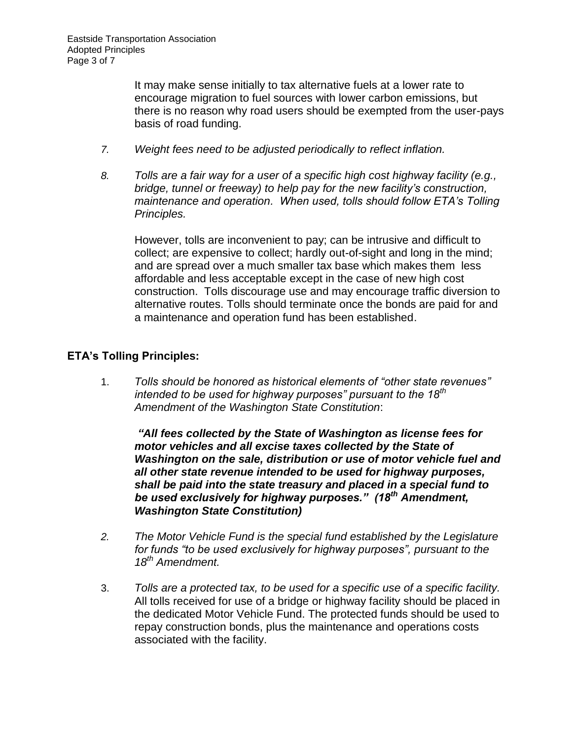It may make sense initially to tax alternative fuels at a lower rate to encourage migration to fuel sources with lower carbon emissions, but there is no reason why road users should be exempted from the user-pays basis of road funding.

- *7. Weight fees need to be adjusted periodically to reflect inflation.*
- *8. Tolls are a fair way for a user of a specific high cost highway facility (e.g., bridge, tunnel or freeway) to help pay for the new facility's construction, maintenance and operation. When used, tolls should follow ETA's Tolling Principles.*

However, tolls are inconvenient to pay; can be intrusive and difficult to collect; are expensive to collect; hardly out-of-sight and long in the mind; and are spread over a much smaller tax base which makes them less affordable and less acceptable except in the case of new high cost construction. Tolls discourage use and may encourage traffic diversion to alternative routes. Tolls should terminate once the bonds are paid for and a maintenance and operation fund has been established.

# **ETA's Tolling Principles:**

1. *Tolls should be honored as historical elements of "other state revenues" intended to be used for highway purposes" pursuant to the 18th Amendment of the Washington State Constitution*:

*"All fees collected by the State of Washington as license fees for motor vehicles and all excise taxes collected by the State of Washington on the sale, distribution or use of motor vehicle fuel and all other state revenue intended to be used for highway purposes, shall be paid into the state treasury and placed in a special fund to be used exclusively for highway purposes." (18th Amendment, Washington State Constitution)*

- *2. The Motor Vehicle Fund is the special fund established by the Legislature for funds "to be used exclusively for highway purposes", pursuant to the 18th Amendment.*
- 3. *Tolls are a protected tax, to be used for a specific use of a specific facility.* All tolls received for use of a bridge or highway facility should be placed in the dedicated Motor Vehicle Fund. The protected funds should be used to repay construction bonds, plus the maintenance and operations costs associated with the facility.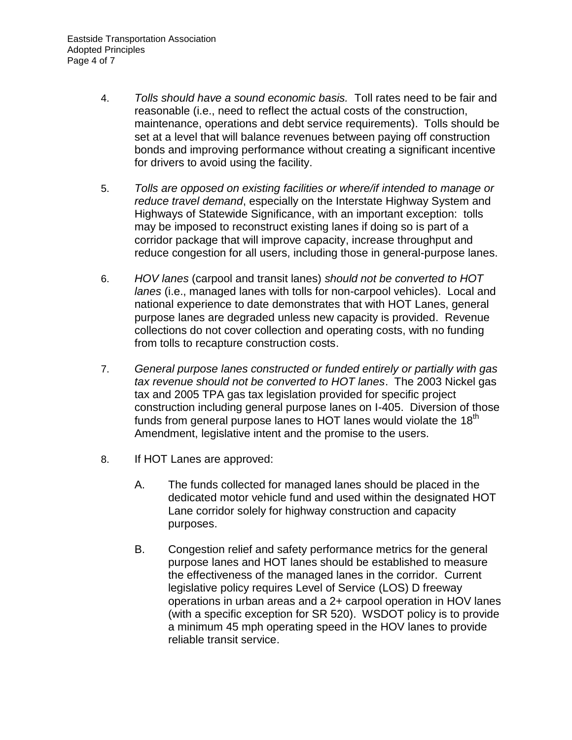- 4. *Tolls should have a sound economic basis.* Toll rates need to be fair and reasonable (i.e., need to reflect the actual costs of the construction, maintenance, operations and debt service requirements). Tolls should be set at a level that will balance revenues between paying off construction bonds and improving performance without creating a significant incentive for drivers to avoid using the facility.
- 5. *Tolls are opposed on existing facilities or where/if intended to manage or reduce travel demand*, especially on the Interstate Highway System and Highways of Statewide Significance, with an important exception: tolls may be imposed to reconstruct existing lanes if doing so is part of a corridor package that will improve capacity, increase throughput and reduce congestion for all users, including those in general-purpose lanes.
- 6. *HOV lanes* (carpool and transit lanes) *should not be converted to HOT lanes* (i.e., managed lanes with tolls for non-carpool vehicles). Local and national experience to date demonstrates that with HOT Lanes, general purpose lanes are degraded unless new capacity is provided. Revenue collections do not cover collection and operating costs, with no funding from tolls to recapture construction costs.
- 7. *General purpose lanes constructed or funded entirely or partially with gas tax revenue should not be converted to HOT lanes*. The 2003 Nickel gas tax and 2005 TPA gas tax legislation provided for specific project construction including general purpose lanes on I-405. Diversion of those funds from general purpose lanes to HOT lanes would violate the  $18<sup>th</sup>$ Amendment, legislative intent and the promise to the users.
- 8. If HOT Lanes are approved:
	- A. The funds collected for managed lanes should be placed in the dedicated motor vehicle fund and used within the designated HOT Lane corridor solely for highway construction and capacity purposes.
	- B. Congestion relief and safety performance metrics for the general purpose lanes and HOT lanes should be established to measure the effectiveness of the managed lanes in the corridor. Current legislative policy requires Level of Service (LOS) D freeway operations in urban areas and a 2+ carpool operation in HOV lanes (with a specific exception for SR 520). WSDOT policy is to provide a minimum 45 mph operating speed in the HOV lanes to provide reliable transit service.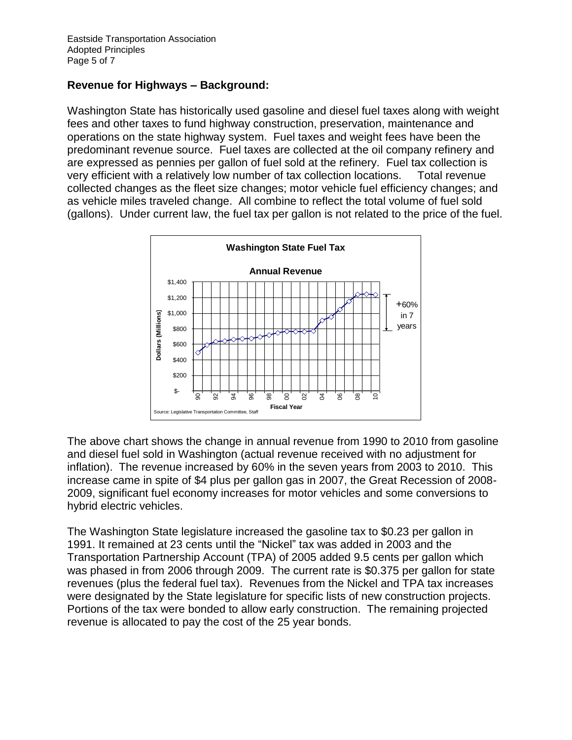### **Revenue for Highways – Background:**

Washington State has historically used gasoline and diesel fuel taxes along with weight fees and other taxes to fund highway construction, preservation, maintenance and operations on the state highway system. Fuel taxes and weight fees have been the predominant revenue source. Fuel taxes are collected at the oil company refinery and are expressed as pennies per gallon of fuel sold at the refinery. Fuel tax collection is very efficient with a relatively low number of tax collection locations. Total revenue collected changes as the fleet size changes; motor vehicle fuel efficiency changes; and as vehicle miles traveled change. All combine to reflect the total volume of fuel sold (gallons). Under current law, the fuel tax per gallon is not related to the price of the fuel.



The above chart shows the change in annual revenue from 1990 to 2010 from gasoline and diesel fuel sold in Washington (actual revenue received with no adjustment for inflation). The revenue increased by 60% in the seven years from 2003 to 2010. This increase came in spite of \$4 plus per gallon gas in 2007, the Great Recession of 2008- 2009, significant fuel economy increases for motor vehicles and some conversions to hybrid electric vehicles.

The Washington State legislature increased the gasoline tax to \$0.23 per gallon in 1991. It remained at 23 cents until the "Nickel" tax was added in 2003 and the Transportation Partnership Account (TPA) of 2005 added 9.5 cents per gallon which was phased in from 2006 through 2009. The current rate is \$0.375 per gallon for state revenues (plus the federal fuel tax). Revenues from the Nickel and TPA tax increases were designated by the State legislature for specific lists of new construction projects. Portions of the tax were bonded to allow early construction. The remaining projected revenue is allocated to pay the cost of the 25 year bonds.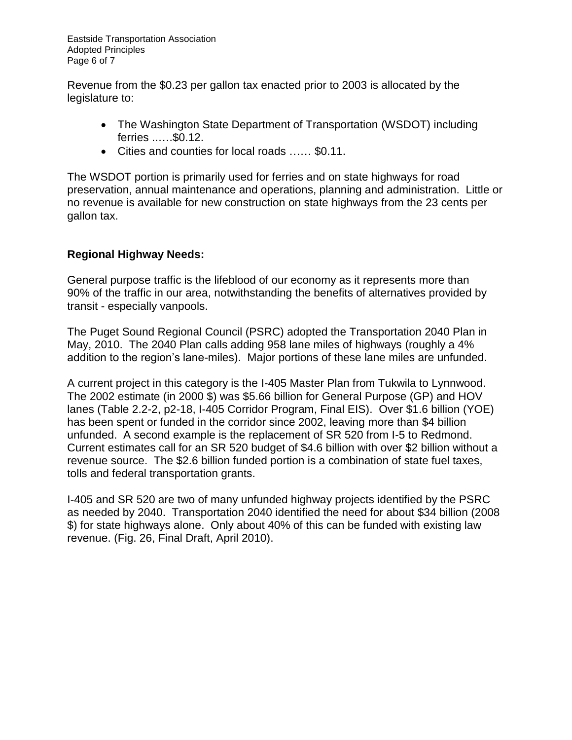Eastside Transportation Association Adopted Principles Page 6 of 7

Revenue from the \$0.23 per gallon tax enacted prior to 2003 is allocated by the legislature to:

- The Washington State Department of Transportation (WSDOT) including ferries ..….\$0.12.
- Cities and counties for local roads …… \$0.11.

The WSDOT portion is primarily used for ferries and on state highways for road preservation, annual maintenance and operations, planning and administration. Little or no revenue is available for new construction on state highways from the 23 cents per gallon tax.

# **Regional Highway Needs:**

General purpose traffic is the lifeblood of our economy as it represents more than 90% of the traffic in our area, notwithstanding the benefits of alternatives provided by transit - especially vanpools.

The Puget Sound Regional Council (PSRC) adopted the Transportation 2040 Plan in May, 2010. The 2040 Plan calls adding 958 lane miles of highways (roughly a 4% addition to the region's lane-miles). Major portions of these lane miles are unfunded.

A current project in this category is the I-405 Master Plan from Tukwila to Lynnwood. The 2002 estimate (in 2000 \$) was \$5.66 billion for General Purpose (GP) and HOV lanes (Table 2.2-2, p2-18, I-405 Corridor Program, Final EIS). Over \$1.6 billion (YOE) has been spent or funded in the corridor since 2002, leaving more than \$4 billion unfunded. A second example is the replacement of SR 520 from I-5 to Redmond. Current estimates call for an SR 520 budget of \$4.6 billion with over \$2 billion without a revenue source. The \$2.6 billion funded portion is a combination of state fuel taxes, tolls and federal transportation grants.

I-405 and SR 520 are two of many unfunded highway projects identified by the PSRC as needed by 2040. Transportation 2040 identified the need for about \$34 billion (2008 \$) for state highways alone. Only about 40% of this can be funded with existing law revenue. (Fig. 26, Final Draft, April 2010).